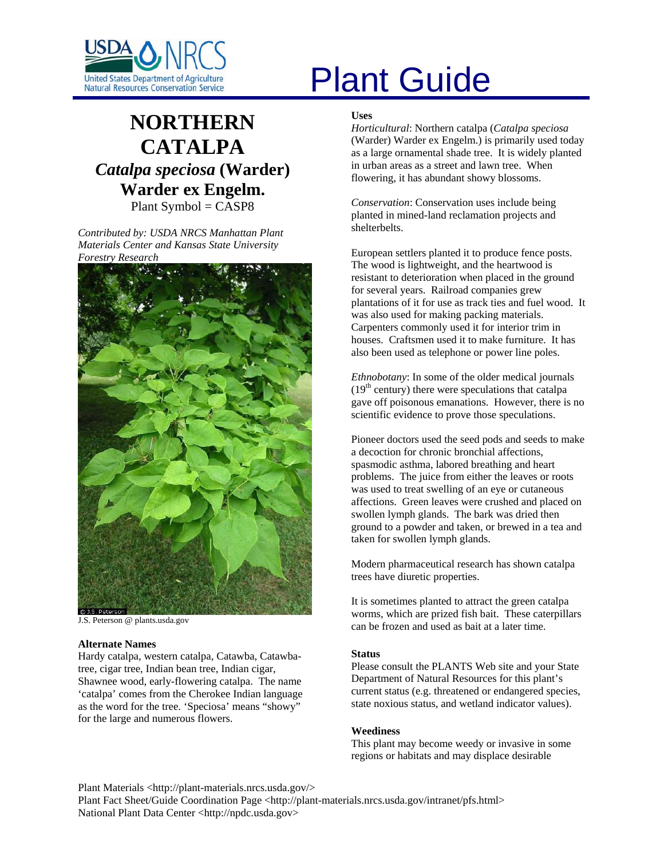

# **NORTHERN CATALPA** *Catalpa speciosa* **(Warder) Warder ex Engelm.**

Plant Symbol = CASP8

*Contributed by: USDA NRCS Manhattan Plant Materials Center and Kansas State University Forestry Research* 



J.S. Peterson @ plants.usda.gov

# **Alternate Names**

Hardy catalpa, western catalpa, Catawba, Catawbatree, cigar tree, Indian bean tree, Indian cigar, Shawnee wood, early-flowering catalpa. The name 'catalpa' comes from the Cherokee Indian language as the word for the tree. 'Speciosa' means "showy" for the large and numerous flowers.

# United States Department of Agriculture<br>Natural Resources Conservation Service

#### **Uses**

*Horticultural*: Northern catalpa (*Catalpa speciosa*  (Warder) Warder ex Engelm.) is primarily used today as a large ornamental shade tree. It is widely planted in urban areas as a street and lawn tree. When flowering, it has abundant showy blossoms.

*Conservation*: Conservation uses include being planted in mined-land reclamation projects and shelterbelts.

European settlers planted it to produce fence posts. The wood is lightweight, and the heartwood is resistant to deterioration when placed in the ground for several years. Railroad companies grew plantations of it for use as track ties and fuel wood. It was also used for making packing materials. Carpenters commonly used it for interior trim in houses. Craftsmen used it to make furniture. It has also been used as telephone or power line poles.

*Ethnobotany*: In some of the older medical journals  $(19<sup>th</sup>$  century) there were speculations that catalpa gave off poisonous emanations. However, there is no scientific evidence to prove those speculations.

Pioneer doctors used the seed pods and seeds to make a decoction for chronic bronchial affections, spasmodic asthma, labored breathing and heart problems. The juice from either the leaves or roots was used to treat swelling of an eye or cutaneous affections. Green leaves were crushed and placed on swollen lymph glands. The bark was dried then ground to a powder and taken, or brewed in a tea and taken for swollen lymph glands.

Modern pharmaceutical research has shown catalpa trees have diuretic properties.

It is sometimes planted to attract the green catalpa worms, which are prized fish bait. These caterpillars can be frozen and used as bait at a later time.

#### **Status**

Please consult the PLANTS Web site and your State Department of Natural Resources for this plant's current status (e.g. threatened or endangered species, state noxious status, and wetland indicator values).

#### **Weediness**

This plant may become weedy or invasive in some regions or habitats and may displace desirable

Plant Materials <http://plant-materials.nrcs.usda.gov/>

Plant Fact Sheet/Guide Coordination Page <http://plant-materials.nrcs.usda.gov/intranet/pfs.html> National Plant Data Center <http://npdc.usda.gov>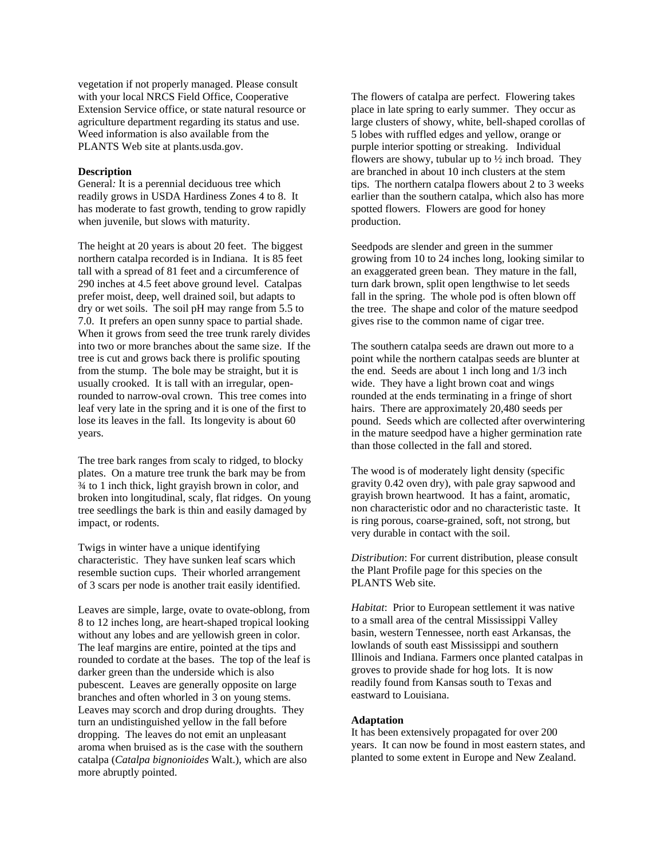vegetation if not properly managed. Please consult with your local NRCS Field Office, Cooperative Extension Service office, or state natural resource or agriculture department regarding its status and use. Weed information is also available from the PLANTS Web site at plants.usda.gov.

#### **Description**

General*:* It is a perennial deciduous tree which readily grows in USDA Hardiness Zones 4 to 8. It has moderate to fast growth, tending to grow rapidly when juvenile, but slows with maturity.

The height at 20 years is about 20 feet. The biggest northern catalpa recorded is in Indiana. It is 85 feet tall with a spread of 81 feet and a circumference of 290 inches at 4.5 feet above ground level. Catalpas prefer moist, deep, well drained soil, but adapts to dry or wet soils. The soil pH may range from 5.5 to 7.0. It prefers an open sunny space to partial shade. When it grows from seed the tree trunk rarely divides into two or more branches about the same size. If the tree is cut and grows back there is prolific spouting from the stump. The bole may be straight, but it is usually crooked. It is tall with an irregular, openrounded to narrow-oval crown. This tree comes into leaf very late in the spring and it is one of the first to lose its leaves in the fall. Its longevity is about 60 years.

The tree bark ranges from scaly to ridged, to blocky plates. On a mature tree trunk the bark may be from ¾ to 1 inch thick, light grayish brown in color, and broken into longitudinal, scaly, flat ridges. On young tree seedlings the bark is thin and easily damaged by impact, or rodents.

Twigs in winter have a unique identifying characteristic. They have sunken leaf scars which resemble suction cups. Their whorled arrangement of 3 scars per node is another trait easily identified.

Leaves are simple, large, ovate to ovate-oblong, from 8 to 12 inches long, are heart-shaped tropical looking without any lobes and are yellowish green in color. The leaf margins are entire, pointed at the tips and rounded to cordate at the bases. The top of the leaf is darker green than the underside which is also pubescent. Leaves are generally opposite on large branches and often whorled in 3 on young stems. Leaves may scorch and drop during droughts. They turn an undistinguished yellow in the fall before dropping. The leaves do not emit an unpleasant aroma when bruised as is the case with the southern catalpa (*Catalpa bignonioides* Walt.), which are also more abruptly pointed.

The flowers of catalpa are perfect. Flowering takes place in late spring to early summer. They occur as large clusters of showy, white, bell-shaped corollas of 5 lobes with ruffled edges and yellow, orange or purple interior spotting or streaking. Individual flowers are showy, tubular up to  $\frac{1}{2}$  inch broad. They are branched in about 10 inch clusters at the stem tips. The northern catalpa flowers about 2 to 3 weeks earlier than the southern catalpa, which also has more spotted flowers. Flowers are good for honey production.

Seedpods are slender and green in the summer growing from 10 to 24 inches long, looking similar to an exaggerated green bean. They mature in the fall, turn dark brown, split open lengthwise to let seeds fall in the spring. The whole pod is often blown off the tree. The shape and color of the mature seedpod gives rise to the common name of cigar tree.

The southern catalpa seeds are drawn out more to a point while the northern catalpas seeds are blunter at the end. Seeds are about 1 inch long and 1/3 inch wide. They have a light brown coat and wings rounded at the ends terminating in a fringe of short hairs. There are approximately 20,480 seeds per pound. Seeds which are collected after overwintering in the mature seedpod have a higher germination rate than those collected in the fall and stored.

The wood is of moderately light density (specific gravity 0.42 oven dry), with pale gray sapwood and grayish brown heartwood. It has a faint, aromatic, non characteristic odor and no characteristic taste. It is ring porous, coarse-grained, soft, not strong, but very durable in contact with the soil.

*Distribution*: For current distribution, please consult the Plant Profile page for this species on the PLANTS Web site.

*Habitat*: Prior to European settlement it was native to a small area of the central Mississippi Valley basin, western Tennessee, north east Arkansas, the lowlands of south east Mississippi and southern Illinois and Indiana. Farmers once planted catalpas in groves to provide shade for hog lots. It is now readily found from Kansas south to Texas and eastward to Louisiana.

#### **Adaptation**

It has been extensively propagated for over 200 years. It can now be found in most eastern states, and planted to some extent in Europe and New Zealand.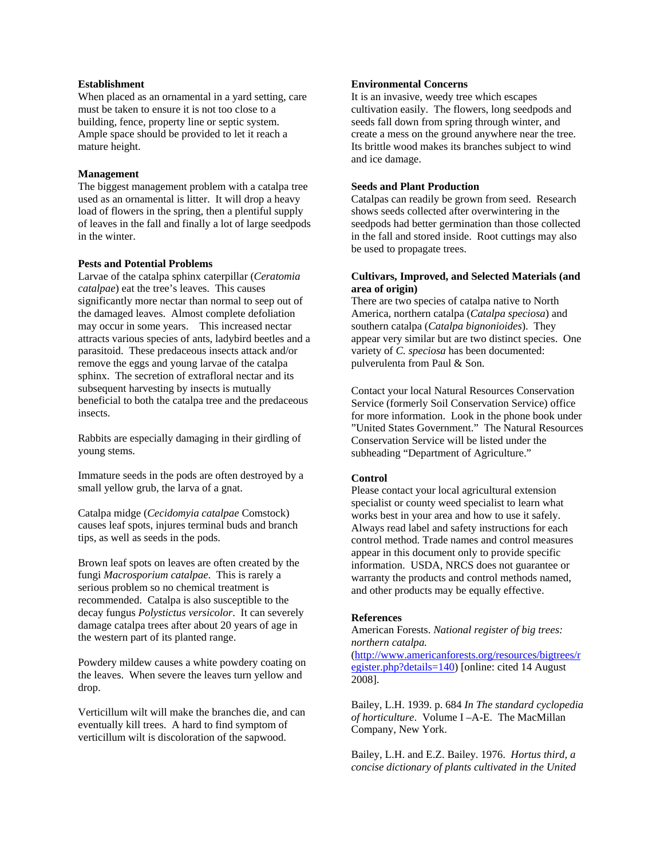# **Establishment**

When placed as an ornamental in a yard setting, care must be taken to ensure it is not too close to a building, fence, property line or septic system. Ample space should be provided to let it reach a mature height.

#### **Management**

The biggest management problem with a catalpa tree used as an ornamental is litter. It will drop a heavy load of flowers in the spring, then a plentiful supply of leaves in the fall and finally a lot of large seedpods in the winter.

# **Pests and Potential Problems**

Larvae of the catalpa sphinx caterpillar (*Ceratomia catalpae*) eat the tree's leaves. This causes significantly more nectar than normal to seep out of the damaged leaves. Almost complete defoliation may occur in some years. This increased nectar attracts various species of ants, ladybird beetles and a parasitoid. These predaceous insects attack and/or remove the eggs and young larvae of the catalpa sphinx. The secretion of extrafloral nectar and its subsequent harvesting by insects is mutually beneficial to both the catalpa tree and the predaceous insects.

Rabbits are especially damaging in their girdling of young stems.

Immature seeds in the pods are often destroyed by a small yellow grub, the larva of a gnat.

Catalpa midge (*Cecidomyia catalpae* Comstock) causes leaf spots, injures terminal buds and branch tips, as well as seeds in the pods.

Brown leaf spots on leaves are often created by the fungi *Macrosporium catalpae*. This is rarely a serious problem so no chemical treatment is recommended. Catalpa is also susceptible to the decay fungus *Polystictus versicolor*. It can severely damage catalpa trees after about 20 years of age in the western part of its planted range.

Powdery mildew causes a white powdery coating on the leaves. When severe the leaves turn yellow and drop.

Verticillum wilt will make the branches die, and can eventually kill trees. A hard to find symptom of verticillum wilt is discoloration of the sapwood.

# **Environmental Concerns**

It is an invasive, weedy tree which escapes cultivation easily. The flowers, long seedpods and seeds fall down from spring through winter, and create a mess on the ground anywhere near the tree. Its brittle wood makes its branches subject to wind and ice damage.

# **Seeds and Plant Production**

Catalpas can readily be grown from seed. Research shows seeds collected after overwintering in the seedpods had better germination than those collected in the fall and stored inside. Root cuttings may also be used to propagate trees.

# **Cultivars, Improved, and Selected Materials (and area of origin)**

There are two species of catalpa native to North America, northern catalpa (*Catalpa speciosa*) and southern catalpa (*Catalpa bignonioides*). They appear very similar but are two distinct species. One variety of *C. speciosa* has been documented: pulverulenta from Paul & Son.

Contact your local Natural Resources Conservation Service (formerly Soil Conservation Service) office for more information. Look in the phone book under "United States Government." The Natural Resources Conservation Service will be listed under the subheading "Department of Agriculture."

#### **Control**

Please contact your local agricultural extension specialist or county weed specialist to learn what works best in your area and how to use it safely. Always read label and safety instructions for each control method. Trade names and control measures appear in this document only to provide specific information. USDA, NRCS does not guarantee or warranty the products and control methods named, and other products may be equally effective.

#### **References**

American Forests. *National register of big trees: northern catalpa.* 

[\(http://www.americanforests.org/resources/bigtrees/r](http://www.americanforests.org/resources/bigtrees/register.php?details=140) [egister.php?details=140](http://www.americanforests.org/resources/bigtrees/register.php?details=140)) [online: cited 14 August 2008].

Bailey, L.H. 1939. p. 684 *In The standard cyclopedia of horticulture*. Volume I –A-E. The MacMillan Company, New York.

Bailey, L.H. and E.Z. Bailey. 1976. *Hortus third, a concise dictionary of plants cultivated in the United*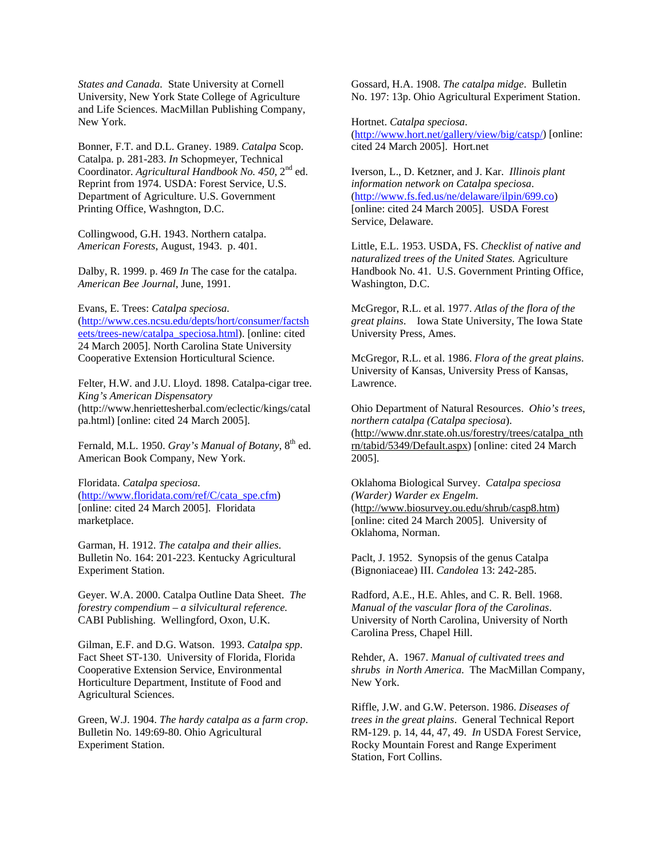*States and Canada.* State University at Cornell University, New York State College of Agriculture and Life Sciences. MacMillan Publishing Company, New York.

Bonner, F.T. and D.L. Graney. 1989. *Catalpa* Scop. Catalpa. p. 281-283. *In* Schopmeyer, Technical Coordinator. *Agricultural Handbook No. 450*, 2nd ed. Reprint from 1974. USDA: Forest Service, U.S. Department of Agriculture. U.S. Government Printing Office, Washngton, D.C.

Collingwood, G.H. 1943. Northern catalpa. *American Forests*, August, 1943. p. 401.

Dalby, R. 1999. p. 469 *In* The case for the catalpa. *American Bee Journal*, June, 1991.

Evans, E. Trees: *Catalpa speciosa*. [\(http://www.ces.ncsu.edu/depts/hort/consumer/factsh](http://www.ces.ncsu.edu/depts/hort/consumer/factsheets/trees-new/catalpa_speciosa.html) [eets/trees-new/catalpa\\_speciosa.html\)](http://www.ces.ncsu.edu/depts/hort/consumer/factsheets/trees-new/catalpa_speciosa.html). [online: cited 24 March 2005]. North Carolina State University Cooperative Extension Horticultural Science.

Felter, H.W. and J.U. Lloyd. 1898. Catalpa-cigar tree. *King's American Dispensatory* (http://www.henriettesherbal.com/eclectic/kings/catal pa.html) [online: cited 24 March 2005].

Fernald, M.L. 1950. *Gray's Manual of Botany*, 8<sup>th</sup> ed. American Book Company, New York.

Floridata. *Catalpa speciosa*. [\(http://www.floridata.com/ref/C/cata\\_spe.cfm\)](http://www.floridata.com/ref/C/cata_spe.cfm) [online: cited 24 March 2005]. Floridata marketplace.

Garman, H. 1912. *The catalpa and their allies*. Bulletin No. 164: 201-223. Kentucky Agricultural Experiment Station.

Geyer. W.A. 2000. Catalpa Outline Data Sheet. *The forestry compendium – a silvicultural reference.*  CABI Publishing. Wellingford, Oxon, U.K.

Gilman, E.F. and D.G. Watson. 1993. *Catalpa spp*. Fact Sheet ST-130. University of Florida, Florida Cooperative Extension Service, Environmental Horticulture Department, Institute of Food and Agricultural Sciences.

Green, W.J. 1904. *The hardy catalpa as a farm crop*. Bulletin No. 149:69-80. Ohio Agricultural Experiment Station.

Gossard, H.A. 1908. *The catalpa midge*. Bulletin No. 197: 13p. Ohio Agricultural Experiment Station.

Hortnet. *Catalpa speciosa*. [\(http://www.hort.net/gallery/view/big/catsp/\)](http://www.hort.net/gallery/view/big/catsp/) [online: cited 24 March 2005]. Hort.net

Iverson, L., D. Ketzner, and J. Kar. *Illinois plant information network on Catalpa speciosa*. [\(http://www.fs.fed.us/ne/delaware/ilpin/699.co](http://www.fs.fed.us/ne/delaware/ilpin/699.co)) [online: cited 24 March 2005]. USDA Forest Service, Delaware.

Little, E.L. 1953. USDA, FS. *Checklist of native and naturalized trees of the United States.* Agriculture Handbook No. 41. U.S. Government Printing Office, Washington, D.C.

McGregor, R.L. et al. 1977. *Atlas of the flora of the great plains*. Iowa State University, The Iowa State University Press, Ames.

McGregor, R.L. et al. 1986. *Flora of the great plains*. University of Kansas, University Press of Kansas, Lawrence.

Ohio Department of Natural Resources. *Ohio's trees, northern catalpa (Catalpa speciosa*). (http://www.dnr.state.oh.us/forestry/trees/catalpa\_nth rn/tabid/5349/Default.aspx) [online: cited 24 March 2005].

Oklahoma Biological Survey. *Catalpa speciosa (Warder) Warder ex Engelm*. (http://www.biosurvey.ou.edu/shrub/casp8.htm) [online: cited 24 March 2005]. University of Oklahoma, Norman.

Paclt, J. 1952. Synopsis of the genus Catalpa (Bignoniaceae) III. *Candolea* 13: 242-285.

Radford, A.E., H.E. Ahles, and C. R. Bell. 1968. *Manual of the vascular flora of the Carolinas*. University of North Carolina, University of North Carolina Press, Chapel Hill.

Rehder, A. 1967. *Manual of cultivated trees and shrubs in North America*. The MacMillan Company, New York.

Riffle, J.W. and G.W. Peterson. 1986. *Diseases of trees in the great plains*. General Technical Report RM-129. p. 14, 44, 47, 49. *In* USDA Forest Service, Rocky Mountain Forest and Range Experiment Station, Fort Collins.